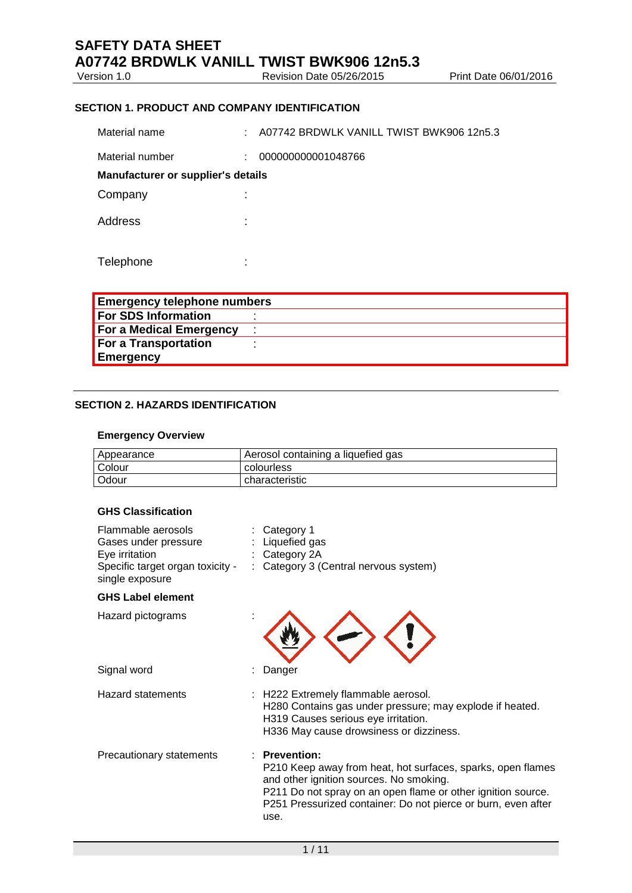Version 1.0 **Revision Date 05/26/2015** Print Date 06/01/2016

# **SECTION 1. PRODUCT AND COMPANY IDENTIFICATION**

Material name : A07742 BRDWLK VANILL TWIST BWK906 12n5.3

Material number : 000000000001048766 **Manufacturer or supplier's details** Company in the company of the company of the contract of the contract of the contract of the contract of the contract of the contract of the contract of the contract of the contract of the contract of the contract of the c Address : Telephone :

| <b>Emergency telephone numbers</b> |  |  |  |
|------------------------------------|--|--|--|
| <b>For SDS Information</b>         |  |  |  |
| For a Medical Emergency            |  |  |  |
| <b>For a Transportation</b>        |  |  |  |
| Emergency                          |  |  |  |

### **SECTION 2. HAZARDS IDENTIFICATION**

#### **Emergency Overview**

| Appearance    | Aerosol containing a liquefied gas |
|---------------|------------------------------------|
| <b>Colour</b> | colourless                         |
| l Odour       | characteristic                     |

# **GHS Classification**

| Flammable aerosols<br>Gases under pressure<br>Eye irritation<br>Specific target organ toxicity -<br>single exposure | Category 1<br>Liquefied gas<br>Category 2A<br>: Category 3 (Central nervous system)                                                                                                                                                                                   |
|---------------------------------------------------------------------------------------------------------------------|-----------------------------------------------------------------------------------------------------------------------------------------------------------------------------------------------------------------------------------------------------------------------|
| <b>GHS Label element</b>                                                                                            |                                                                                                                                                                                                                                                                       |
| Hazard pictograms                                                                                                   |                                                                                                                                                                                                                                                                       |
| Signal word                                                                                                         | Danger                                                                                                                                                                                                                                                                |
| <b>Hazard statements</b>                                                                                            | H222 Extremely flammable aerosol.<br>H280 Contains gas under pressure; may explode if heated.<br>H319 Causes serious eye irritation.<br>H336 May cause drowsiness or dizziness.                                                                                       |
| Precautionary statements                                                                                            | <b>Prevention:</b><br>P210 Keep away from heat, hot surfaces, sparks, open flames<br>and other ignition sources. No smoking.<br>P211 Do not spray on an open flame or other ignition source.<br>P251 Pressurized container: Do not pierce or burn, even after<br>use. |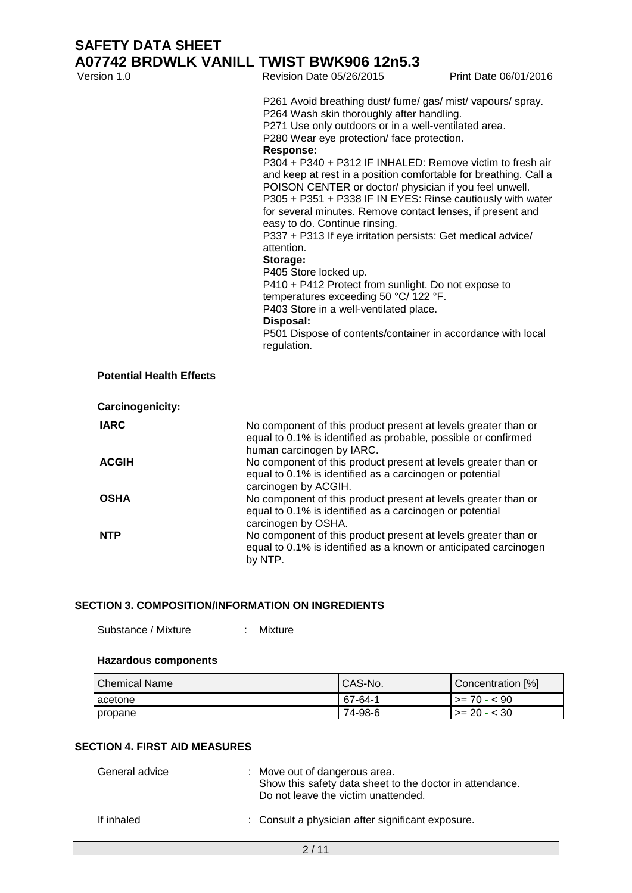# **SAFETY DATA SHEET A07742 BRDWLK VANILL TWIST BWK906 12n5.3**<br>Nevision Date 05/26/2015

| Version 1.0                     | Revision Date 05/26/2015                                                                                                                                                                                                                                                                                                                                                                                                                                                                                                                                                                                                                                                                                                                                                                                                                                                                                                                          | Print Date 06/01/2016 |
|---------------------------------|---------------------------------------------------------------------------------------------------------------------------------------------------------------------------------------------------------------------------------------------------------------------------------------------------------------------------------------------------------------------------------------------------------------------------------------------------------------------------------------------------------------------------------------------------------------------------------------------------------------------------------------------------------------------------------------------------------------------------------------------------------------------------------------------------------------------------------------------------------------------------------------------------------------------------------------------------|-----------------------|
|                                 | P261 Avoid breathing dust/ fume/ gas/ mist/ vapours/ spray.<br>P264 Wash skin thoroughly after handling.<br>P271 Use only outdoors or in a well-ventilated area.<br>P280 Wear eye protection/ face protection.<br><b>Response:</b><br>P304 + P340 + P312 IF INHALED: Remove victim to fresh air<br>and keep at rest in a position comfortable for breathing. Call a<br>POISON CENTER or doctor/ physician if you feel unwell.<br>P305 + P351 + P338 IF IN EYES: Rinse cautiously with water<br>for several minutes. Remove contact lenses, if present and<br>easy to do. Continue rinsing.<br>P337 + P313 If eye irritation persists: Get medical advice/<br>attention.<br>Storage:<br>P405 Store locked up.<br>P410 + P412 Protect from sunlight. Do not expose to<br>temperatures exceeding 50 °C/ 122 °F.<br>P403 Store in a well-ventilated place.<br>Disposal:<br>P501 Dispose of contents/container in accordance with local<br>regulation. |                       |
| <b>Potential Health Effects</b> |                                                                                                                                                                                                                                                                                                                                                                                                                                                                                                                                                                                                                                                                                                                                                                                                                                                                                                                                                   |                       |
| Carcinogenicity:                |                                                                                                                                                                                                                                                                                                                                                                                                                                                                                                                                                                                                                                                                                                                                                                                                                                                                                                                                                   |                       |
| <b>IARC</b>                     | No component of this product present at levels greater than or<br>equal to 0.1% is identified as probable, possible or confirmed<br>human carcinogen by IARC.                                                                                                                                                                                                                                                                                                                                                                                                                                                                                                                                                                                                                                                                                                                                                                                     |                       |
| <b>ACGIH</b>                    | No component of this product present at levels greater than or<br>equal to 0.1% is identified as a carcinogen or potential<br>carcinogen by ACGIH.                                                                                                                                                                                                                                                                                                                                                                                                                                                                                                                                                                                                                                                                                                                                                                                                |                       |
| <b>OSHA</b>                     | No component of this product present at levels greater than or<br>equal to 0.1% is identified as a carcinogen or potential<br>carcinogen by OSHA.                                                                                                                                                                                                                                                                                                                                                                                                                                                                                                                                                                                                                                                                                                                                                                                                 |                       |
| <b>NTP</b>                      | No component of this product present at levels greater than or<br>equal to 0.1% is identified as a known or anticipated carcinogen<br>by NTP.                                                                                                                                                                                                                                                                                                                                                                                                                                                                                                                                                                                                                                                                                                                                                                                                     |                       |

# **SECTION 3. COMPOSITION/INFORMATION ON INGREDIENTS**

Substance / Mixture : Mixture

#### **Hazardous components**

| Chemical Name | CAS-No. | Concentration [%] |
|---------------|---------|-------------------|
| acetone       | 67-64-1 | l >= 70 - < 90    |
| propane       | 74-98-6 | $\ge$ 20 - < 30   |

## **SECTION 4. FIRST AID MEASURES**

| General advice | : Move out of dangerous area.<br>Show this safety data sheet to the doctor in attendance.<br>Do not leave the victim unattended. |
|----------------|----------------------------------------------------------------------------------------------------------------------------------|
| If inhaled     | : Consult a physician after significant exposure.                                                                                |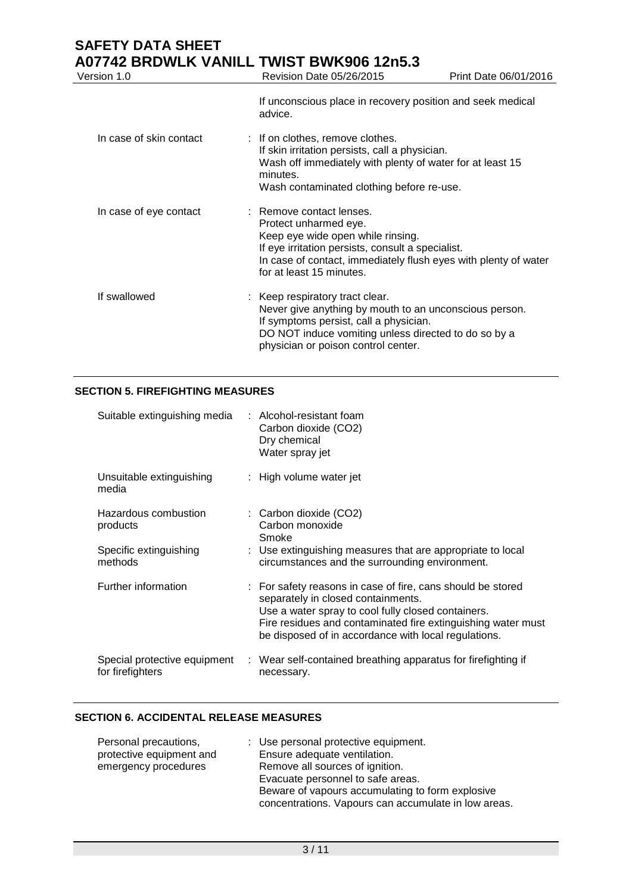# **SAFETY DATA SHEET A07742 BRDWLK VANILL TWIST BWK906 12n5.3**<br>Version 1.0 Revision Date 05/26/2015

| Version 1.0             | Revision Date 05/26/2015                                                                                                                                                                                                                   | Print Date 06/01/2016 |
|-------------------------|--------------------------------------------------------------------------------------------------------------------------------------------------------------------------------------------------------------------------------------------|-----------------------|
|                         | If unconscious place in recovery position and seek medical<br>advice.                                                                                                                                                                      |                       |
| In case of skin contact | : If on clothes, remove clothes.<br>If skin irritation persists, call a physician.<br>Wash off immediately with plenty of water for at least 15<br>minutes.<br>Wash contaminated clothing before re-use.                                   |                       |
| In case of eye contact  | : Remove contact lenses.<br>Protect unharmed eye.<br>Keep eye wide open while rinsing.<br>If eye irritation persists, consult a specialist.<br>In case of contact, immediately flush eyes with plenty of water<br>for at least 15 minutes. |                       |
| If swallowed            | : Keep respiratory tract clear.<br>Never give anything by mouth to an unconscious person.<br>If symptoms persist, call a physician.<br>DO NOT induce vomiting unless directed to do so by a<br>physician or poison control center.         |                       |

# **SECTION 5. FIREFIGHTING MEASURES**

| Suitable extinguishing media                                          | : Alcohol-resistant foam<br>Carbon dioxide (CO2)<br>Dry chemical<br>Water spray jet                                                                                                                                                                                             |
|-----------------------------------------------------------------------|---------------------------------------------------------------------------------------------------------------------------------------------------------------------------------------------------------------------------------------------------------------------------------|
| Unsuitable extinguishing<br>media                                     | : High volume water jet                                                                                                                                                                                                                                                         |
| Hazardous combustion<br>products<br>Specific extinguishing<br>methods | $\therefore$ Carbon dioxide (CO2)<br>Carbon monoxide<br>Smoke<br>: Use extinguishing measures that are appropriate to local<br>circumstances and the surrounding environment.                                                                                                   |
| Further information                                                   | : For safety reasons in case of fire, cans should be stored<br>separately in closed containments.<br>Use a water spray to cool fully closed containers.<br>Fire residues and contaminated fire extinguishing water must<br>be disposed of in accordance with local regulations. |
| Special protective equipment<br>for firefighters                      | : Wear self-contained breathing apparatus for firefighting if<br>necessary.                                                                                                                                                                                                     |

## **SECTION 6. ACCIDENTAL RELEASE MEASURES**

| Personal precautions,    | : Use personal protective equipment.                 |
|--------------------------|------------------------------------------------------|
| protective equipment and | Ensure adequate ventilation.                         |
| emergency procedures     | Remove all sources of ignition.                      |
|                          | Evacuate personnel to safe areas.                    |
|                          | Beware of vapours accumulating to form explosive     |
|                          | concentrations. Vapours can accumulate in low areas. |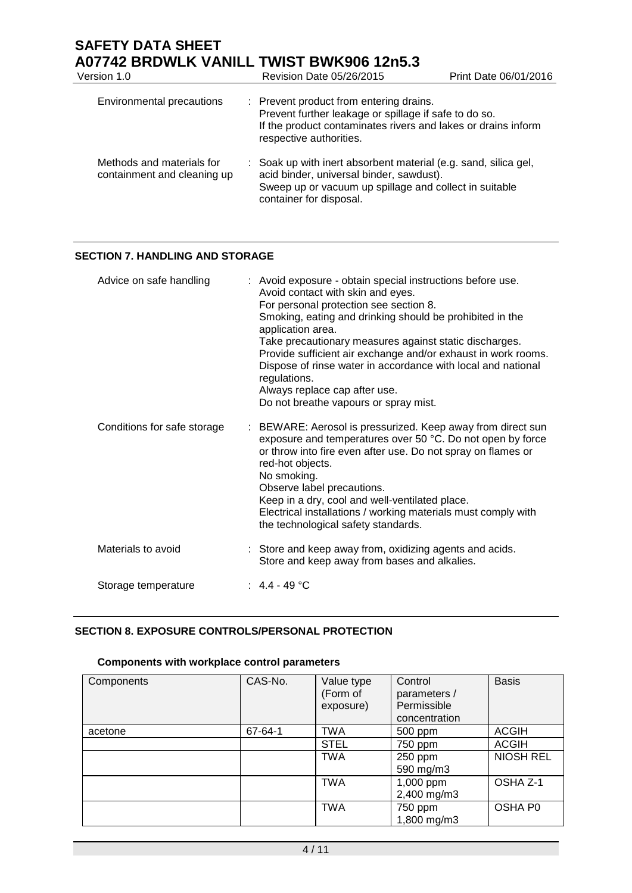# **SAFETY DATA SHEET A07742 BRDWLK VANILL TWIST BWK906 12n5.3**<br>Version 1.0 Revision Date 05/26/2015

| Version 1.0                                              | Revision Date 05/26/2015                                                                                                                                                                         | Print Date 06/01/2016 |
|----------------------------------------------------------|--------------------------------------------------------------------------------------------------------------------------------------------------------------------------------------------------|-----------------------|
| Environmental precautions                                | : Prevent product from entering drains.<br>Prevent further leakage or spillage if safe to do so.<br>If the product contaminates rivers and lakes or drains inform<br>respective authorities.     |                       |
| Methods and materials for<br>containment and cleaning up | : Soak up with inert absorbent material (e.g. sand, silica gel,<br>acid binder, universal binder, sawdust).<br>Sweep up or vacuum up spillage and collect in suitable<br>container for disposal. |                       |

# **SECTION 7. HANDLING AND STORAGE**

| Advice on safe handling     | : Avoid exposure - obtain special instructions before use.<br>Avoid contact with skin and eyes.<br>For personal protection see section 8.<br>Smoking, eating and drinking should be prohibited in the<br>application area.<br>Take precautionary measures against static discharges.<br>Provide sufficient air exchange and/or exhaust in work rooms.<br>Dispose of rinse water in accordance with local and national<br>regulations.<br>Always replace cap after use.<br>Do not breathe vapours or spray mist. |
|-----------------------------|-----------------------------------------------------------------------------------------------------------------------------------------------------------------------------------------------------------------------------------------------------------------------------------------------------------------------------------------------------------------------------------------------------------------------------------------------------------------------------------------------------------------|
| Conditions for safe storage | : BEWARE: Aerosol is pressurized. Keep away from direct sun<br>exposure and temperatures over 50 °C. Do not open by force<br>or throw into fire even after use. Do not spray on flames or<br>red-hot objects.<br>No smoking.<br>Observe label precautions.<br>Keep in a dry, cool and well-ventilated place.<br>Electrical installations / working materials must comply with<br>the technological safety standards.                                                                                            |
| Materials to avoid          | : Store and keep away from, oxidizing agents and acids.<br>Store and keep away from bases and alkalies.                                                                                                                                                                                                                                                                                                                                                                                                         |
| Storage temperature         | $\div$ 4.4 - 49 °C                                                                                                                                                                                                                                                                                                                                                                                                                                                                                              |

# **SECTION 8. EXPOSURE CONTROLS/PERSONAL PROTECTION**

# **Components with workplace control parameters**

| Components | CAS-No. | Value type<br>(Form of<br>exposure) | Control<br>parameters /<br>Permissible<br>concentration | <b>Basis</b>     |
|------------|---------|-------------------------------------|---------------------------------------------------------|------------------|
| acetone    | 67-64-1 | <b>TWA</b>                          | 500 ppm                                                 | <b>ACGIH</b>     |
|            |         | <b>STEL</b>                         | 750 ppm                                                 | <b>ACGIH</b>     |
|            |         | <b>TWA</b>                          | 250 ppm<br>590 mg/m3                                    | <b>NIOSH REL</b> |
|            |         | <b>TWA</b>                          | 1,000 ppm<br>2,400 mg/m3                                | OSHA Z-1         |
|            |         | <b>TWA</b>                          | 750 ppm<br>1,800 mg/m3                                  | OSHA P0          |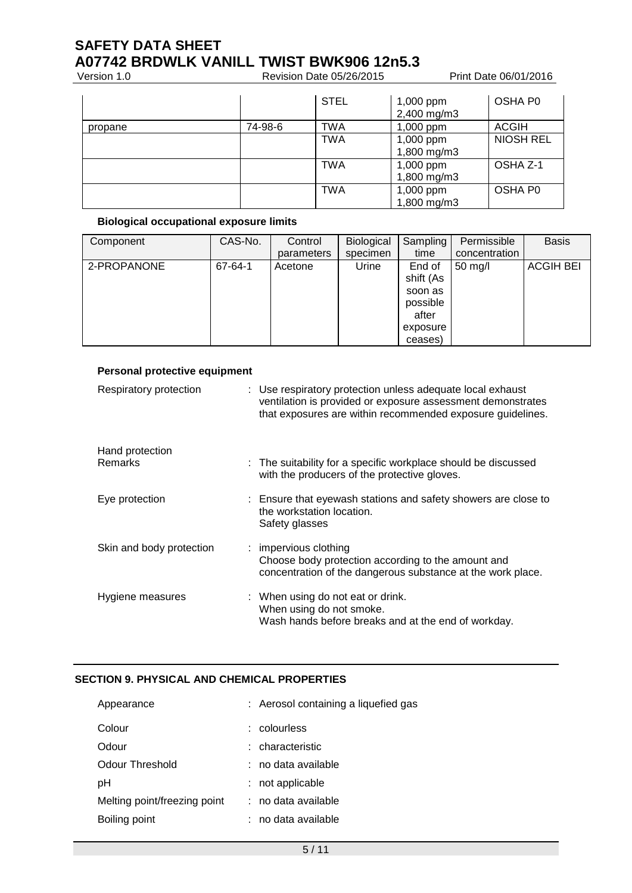# **SAFETY DATA SHEET A07742 BRDWLK VANILL TWIST BWK906 12n5.3**<br>Version 1.0 Revision Date 05/26/2015

Version 1.0 **Revision Date 05/26/2015** Print Date 06/01/2016

|         |         | <b>STEL</b> | $1,000$ ppm<br>2,400 mg/m3 | OSHA P0          |
|---------|---------|-------------|----------------------------|------------------|
| propane | 74-98-6 | <b>TWA</b>  | 1,000 ppm                  | <b>ACGIH</b>     |
|         |         | <b>TWA</b>  | 1,000 ppm<br>1,800 mg/m3   | <b>NIOSH REL</b> |
|         |         | <b>TWA</b>  | 1,000 ppm<br>1,800 mg/m3   | OSHA Z-1         |
|         |         | <b>TWA</b>  | 1,000 ppm<br>1,800 mg/m3   | OSHA P0          |

# **Biological occupational exposure limits**

| Component   | CAS-No. | Control    | Biological | Sampling<br>time | Permissible<br>concentration | <b>Basis</b>     |
|-------------|---------|------------|------------|------------------|------------------------------|------------------|
|             |         | parameters | specimen   |                  |                              |                  |
| 2-PROPANONE | 67-64-1 | Acetone    | Urine      | End of           | $50 \text{ mg/l}$            | <b>ACGIH BEI</b> |
|             |         |            |            | shift (As        |                              |                  |
|             |         |            |            | soon as          |                              |                  |
|             |         |            |            | possible         |                              |                  |
|             |         |            |            | after            |                              |                  |
|             |         |            |            | exposure         |                              |                  |
|             |         |            |            | ceases)          |                              |                  |

| Personal protective equipment |                                                                                                                                                                                         |
|-------------------------------|-----------------------------------------------------------------------------------------------------------------------------------------------------------------------------------------|
| Respiratory protection        | : Use respiratory protection unless adequate local exhaust<br>ventilation is provided or exposure assessment demonstrates<br>that exposures are within recommended exposure guidelines. |
| Hand protection               |                                                                                                                                                                                         |
| Remarks                       | : The suitability for a specific workplace should be discussed<br>with the producers of the protective gloves.                                                                          |
| Eye protection                | : Ensure that eyewash stations and safety showers are close to<br>the workstation location.<br>Safety glasses                                                                           |
| Skin and body protection      | : impervious clothing<br>Choose body protection according to the amount and<br>concentration of the dangerous substance at the work place.                                              |
| Hygiene measures              | : When using do not eat or drink.<br>When using do not smoke.<br>Wash hands before breaks and at the end of workday.                                                                    |

# **SECTION 9. PHYSICAL AND CHEMICAL PROPERTIES**

| Appearance                   | : Aerosol containing a liquefied gas |
|------------------------------|--------------------------------------|
| Colour                       | : colourless                         |
| Odour                        | : characteristic                     |
| Odour Threshold              | : no data available                  |
| рH                           | not applicable                       |
| Melting point/freezing point | : no data available                  |
| Boiling point                | no data available                    |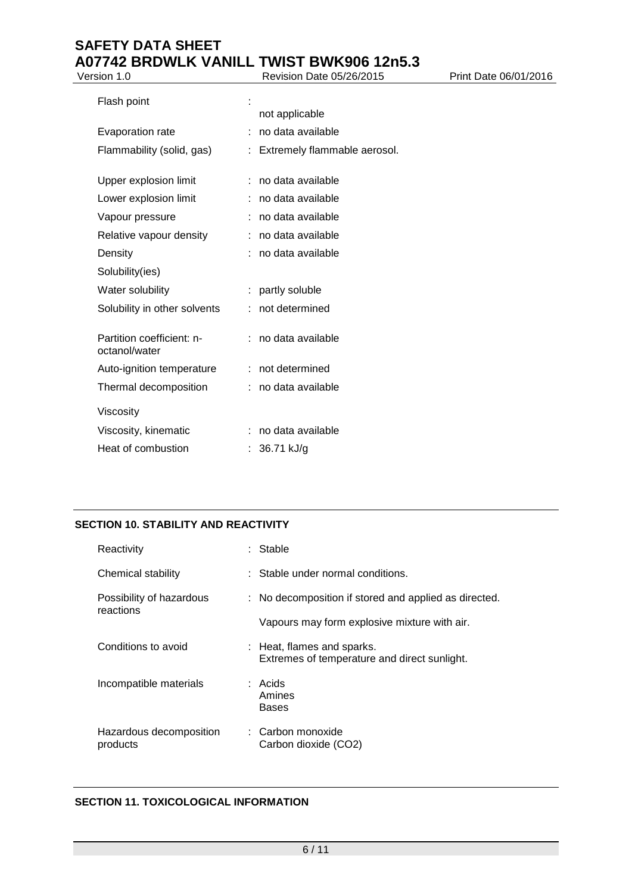# **SAFETY DATA SHEET A07742 BRDWLK VANILL TWIST BWK906 12n5.3**<br>Version 1.0 Revision Date 05/26/2015 Version 1.0 **Revision Date 05/26/2015** Print Date 06/01/2016

| Flash point<br>Evaporation rate<br>Flammability (solid, gas) | not applicable<br>no data available<br>÷.<br>Extremely flammable aerosol. |
|--------------------------------------------------------------|---------------------------------------------------------------------------|
| Upper explosion limit                                        | no data available                                                         |
| Lower explosion limit                                        | no data available                                                         |
| Vapour pressure                                              | no data available                                                         |
| Relative vapour density                                      | no data available                                                         |
| Density                                                      | no data available                                                         |
| Solubility(ies)                                              |                                                                           |
| Water solubility                                             | : partly soluble                                                          |
| Solubility in other solvents                                 | not determined                                                            |
| Partition coefficient: n-<br>octanol/water                   | no data available                                                         |
| Auto-ignition temperature                                    | not determined<br>÷                                                       |
| Thermal decomposition                                        | no data available                                                         |
| Viscosity                                                    |                                                                           |
| Viscosity, kinematic                                         | no data available                                                         |
| Heat of combustion                                           | 36.71 kJ/g                                                                |

# **SECTION 10. STABILITY AND REACTIVITY**

| Reactivity                            | : Stable                                                                   |
|---------------------------------------|----------------------------------------------------------------------------|
| Chemical stability                    | $\therefore$ Stable under normal conditions.                               |
| Possibility of hazardous<br>reactions | : No decomposition if stored and applied as directed.                      |
|                                       | Vapours may form explosive mixture with air.                               |
| Conditions to avoid                   | : Heat, flames and sparks.<br>Extremes of temperature and direct sunlight. |
| Incompatible materials                | : Acids<br>Amines<br><b>Bases</b>                                          |
| Hazardous decomposition<br>products   | ∴ Carbon monoxide<br>Carbon dioxide (CO2)                                  |

# **SECTION 11. TOXICOLOGICAL INFORMATION**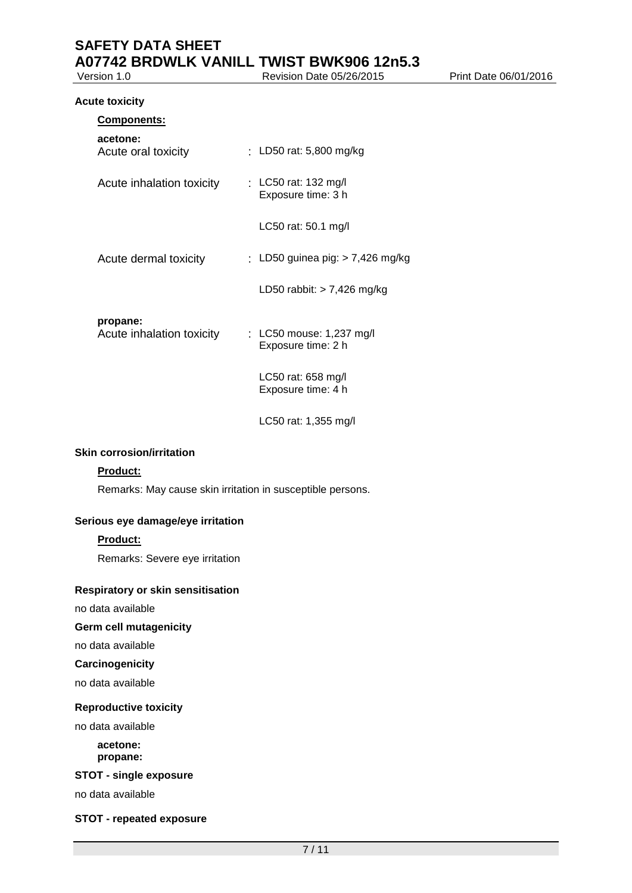#### **Acute toxicity**

| <b>Components:</b>                    |                                                |
|---------------------------------------|------------------------------------------------|
| acetone:<br>Acute oral toxicity       | : LD50 rat: 5,800 mg/kg                        |
| Acute inhalation toxicity             | : LC50 rat: 132 mg/l<br>Exposure time: 3 h     |
|                                       | LC50 rat: 50.1 mg/l                            |
| Acute dermal toxicity                 | : LD50 guinea pig: > 7,426 mg/kg               |
|                                       | LD50 rabbit: $> 7,426$ mg/kg                   |
| propane:<br>Acute inhalation toxicity | : LC50 mouse: 1,237 mg/l<br>Exposure time: 2 h |
|                                       | LC50 rat: 658 mg/l<br>Exposure time: 4 h       |

LC50 rat: 1,355 mg/l

### **Skin corrosion/irritation**

## **Product:**

Remarks: May cause skin irritation in susceptible persons.

## **Serious eye damage/eye irritation**

# **Product:**

Remarks: Severe eye irritation

## **Respiratory or skin sensitisation**

no data available

# **Germ cell mutagenicity**

no data available

# **Carcinogenicity**

no data available

#### **Reproductive toxicity**

no data available

#### **acetone: propane:**

## **STOT - single exposure**

no data available

## **STOT - repeated exposure**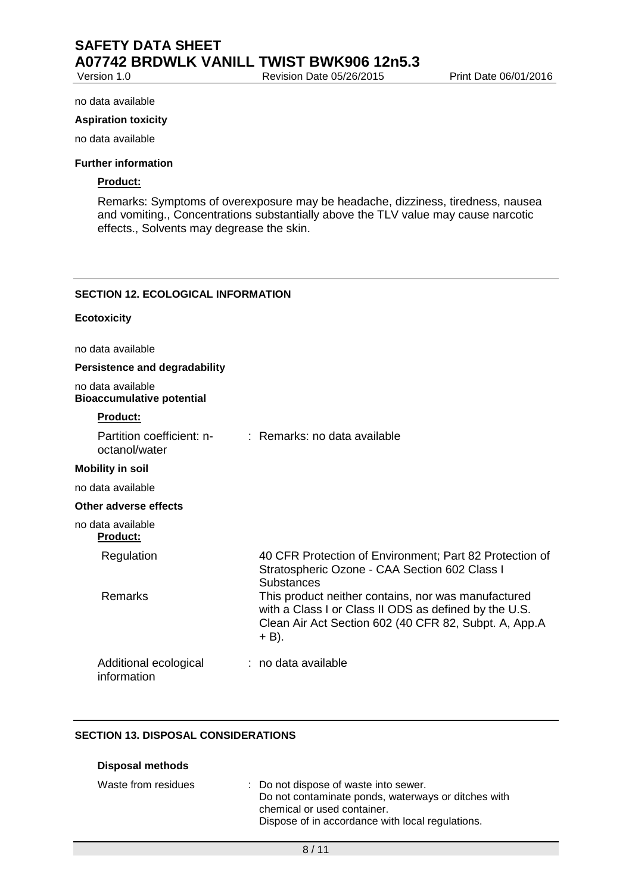#### no data available

#### **Aspiration toxicity**

no data available

### **Further information**

# **Product:**

Remarks: Symptoms of overexposure may be headache, dizziness, tiredness, nausea and vomiting., Concentrations substantially above the TLV value may cause narcotic effects., Solvents may degrease the skin.

### **SECTION 12. ECOLOGICAL INFORMATION**

### **Ecotoxicity**

no data available

## **Persistence and degradability**

no data available **Bioaccumulative potential**

## **Product:**

| Partition coefficient: n-<br>octanol/water | $\therefore$ Remarks: no data available                                                                                                                                          |
|--------------------------------------------|----------------------------------------------------------------------------------------------------------------------------------------------------------------------------------|
| <b>Mobility in soil</b>                    |                                                                                                                                                                                  |
| no data available                          |                                                                                                                                                                                  |
| Other adverse effects                      |                                                                                                                                                                                  |
| no data available<br><b>Product:</b>       |                                                                                                                                                                                  |
| Regulation                                 | 40 CFR Protection of Environment; Part 82 Protection of<br>Stratospheric Ozone - CAA Section 602 Class I<br>Substances                                                           |
| Remarks                                    | This product neither contains, nor was manufactured<br>with a Class I or Class II ODS as defined by the U.S.<br>Clean Air Act Section 602 (40 CFR 82, Subpt. A, App.A<br>$+$ B). |
| Additional ecological<br>information       | : no data available                                                                                                                                                              |

#### **SECTION 13. DISPOSAL CONSIDERATIONS**

**Disposal methods**

| Waste from residues | : Do not dispose of waste into sewer.<br>Do not contaminate ponds, waterways or ditches with |
|---------------------|----------------------------------------------------------------------------------------------|
|                     | chemical or used container.                                                                  |
|                     | Dispose of in accordance with local regulations.                                             |
|                     |                                                                                              |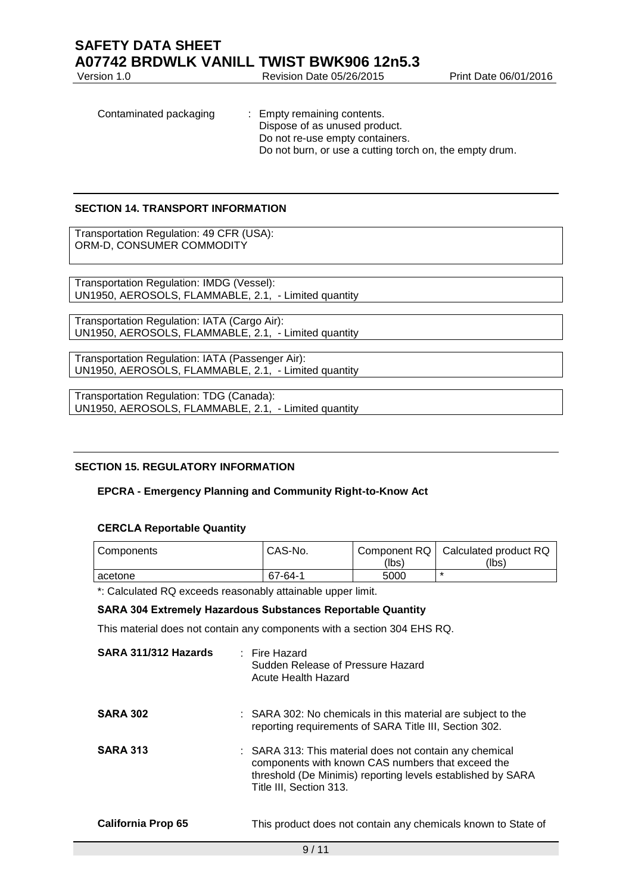Revision Date 05/26/2015 Print Date 06/01/2016 Contaminated packaging : Empty remaining contents.

Dispose of as unused product. Do not re-use empty containers. Do not burn, or use a cutting torch on, the empty drum.

# **SECTION 14. TRANSPORT INFORMATION**

Transportation Regulation: 49 CFR (USA): ORM-D, CONSUMER COMMODITY

Transportation Regulation: IMDG (Vessel): UN1950, AEROSOLS, FLAMMABLE, 2.1, - Limited quantity

Transportation Regulation: IATA (Cargo Air): UN1950, AEROSOLS, FLAMMABLE, 2.1, - Limited quantity

Transportation Regulation: IATA (Passenger Air): UN1950, AEROSOLS, FLAMMABLE, 2.1, - Limited quantity

Transportation Regulation: TDG (Canada): UN1950, AEROSOLS, FLAMMABLE, 2.1, - Limited quantity

# **SECTION 15. REGULATORY INFORMATION**

## **EPCRA - Emergency Planning and Community Right-to-Know Act**

## **CERCLA Reportable Quantity**

| Components | CAS-No. | (lbs) | Component RQ   Calculated product RQ<br>(lbs) |
|------------|---------|-------|-----------------------------------------------|
| acetone    | 67-64-1 | 5000  |                                               |

\*: Calculated RQ exceeds reasonably attainable upper limit.

## **SARA 304 Extremely Hazardous Substances Reportable Quantity**

This material does not contain any components with a section 304 EHS RQ.

| SARA 311/312 Hazards | $\therefore$ Fire Hazard<br>Sudden Release of Pressure Hazard<br>Acute Health Hazard                                                                                                                   |
|----------------------|--------------------------------------------------------------------------------------------------------------------------------------------------------------------------------------------------------|
| <b>SARA 302</b>      | : SARA 302: No chemicals in this material are subject to the<br>reporting requirements of SARA Title III, Section 302.                                                                                 |
| <b>SARA 313</b>      | : SARA 313: This material does not contain any chemical<br>components with known CAS numbers that exceed the<br>threshold (De Minimis) reporting levels established by SARA<br>Title III, Section 313. |
| California Prop 65   | This product does not contain any chemicals known to State of                                                                                                                                          |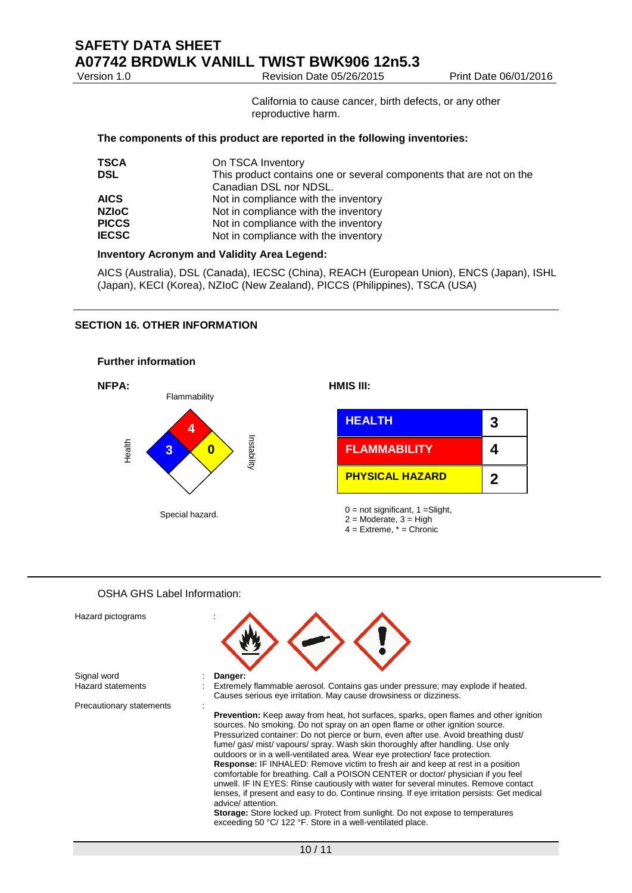Revision Date 05/26/2015 Print Date 06/01/2016

California to cause cancer, birth defects, or any other reproductive harm.

#### **The components of this product are reported in the following inventories:**

| On TSCA Inventory                                                   |
|---------------------------------------------------------------------|
| This product contains one or several components that are not on the |
| Canadian DSL nor NDSL.                                              |
| Not in compliance with the inventory                                |
| Not in compliance with the inventory                                |
| Not in compliance with the inventory                                |
| Not in compliance with the inventory                                |
|                                                                     |

## **Inventory Acronym and Validity Area Legend:**

AICS (Australia), DSL (Canada), IECSC (China), REACH (European Union), ENCS (Japan), ISHL (Japan), KECI (Korea), NZIoC (New Zealand), PICCS (Philippines), TSCA (USA)

### **SECTION 16. OTHER INFORMATION**



# OSHA GHS Label Information:

| Hazard pictograms        |                                                                                                                                                                                                                                                                                                                                                                                                                                                                                                                                                                                                                                                                                                                                                                                                                                                                                                              |
|--------------------------|--------------------------------------------------------------------------------------------------------------------------------------------------------------------------------------------------------------------------------------------------------------------------------------------------------------------------------------------------------------------------------------------------------------------------------------------------------------------------------------------------------------------------------------------------------------------------------------------------------------------------------------------------------------------------------------------------------------------------------------------------------------------------------------------------------------------------------------------------------------------------------------------------------------|
| Signal word              | Danger:                                                                                                                                                                                                                                                                                                                                                                                                                                                                                                                                                                                                                                                                                                                                                                                                                                                                                                      |
| <b>Hazard statements</b> | Extremely flammable aerosol. Contains gas under pressure; may explode if heated.<br>Causes serious eye irritation. May cause drowsiness or dizziness.                                                                                                                                                                                                                                                                                                                                                                                                                                                                                                                                                                                                                                                                                                                                                        |
| Precautionary statements | <b>Prevention:</b> Keep away from heat, hot surfaces, sparks, open flames and other ignition<br>sources. No smoking. Do not spray on an open flame or other ignition source.<br>Pressurized container: Do not pierce or burn, even after use. Avoid breathing dust/<br>fume/gas/mist/vapours/spray. Wash skin thoroughly after handling. Use only<br>outdoors or in a well-ventilated area. Wear eye protection/face protection.<br>Response: IF INHALED: Remove victim to fresh air and keep at rest in a position<br>comfortable for breathing. Call a POISON CENTER or doctor/ physician if you feel<br>unwell. IF IN EYES: Rinse cautiously with water for several minutes. Remove contact<br>lenses, if present and easy to do. Continue rinsing. If eye irritation persists: Get medical<br>advice/attention.<br><b>Storage:</b> Store locked up. Protect from sunlight. Do not expose to temperatures |
|                          | exceeding 50 °C/ 122 °F. Store in a well-ventilated place.                                                                                                                                                                                                                                                                                                                                                                                                                                                                                                                                                                                                                                                                                                                                                                                                                                                   |